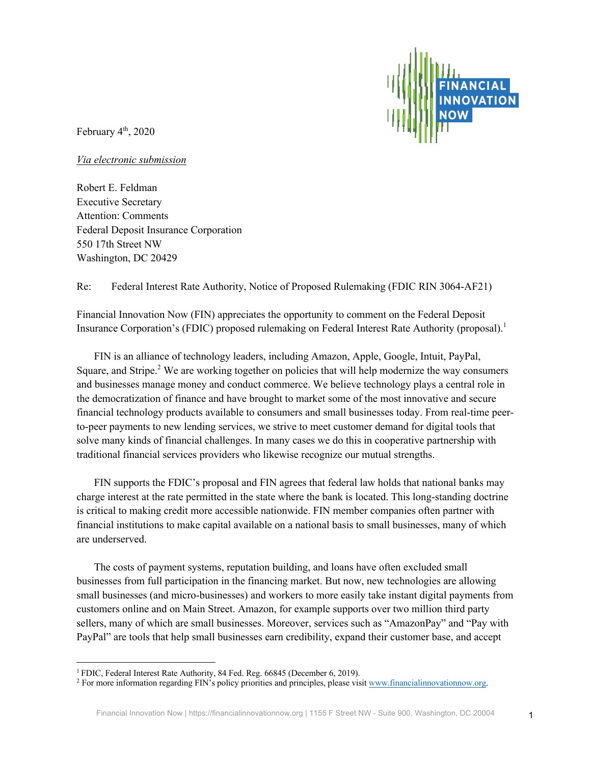February  $4<sup>th</sup>$ , 2020

*Via electronic submission*

Robert E. Feldman Executive Secretary Attention: Comments Federal Deposit Insurance Corporation 550 17th Street NW Washington, DC 20429

Re: Federal Interest Rate Authority, Notice of Proposed Rulemaking (FDIC RIN 3064-AF21)

Financial Innovation Now (FIN) appreciates the opportunity to comment on the Federal Deposit Insurance Corporation's (FDIC) proposed rulemaking on Federal Interest Rate Authority (proposal). 1

FIN is an alliance of technology leaders, including Amazon, Apple, Google, Intuit, PayPal, Square, and Stripe. $2$  We are working together on policies that will help modernize the way consumers and businesses manage money and conduct commerce. We believe technology plays a central role in the democratization of finance and have brought to market some of the most innovative and secure financial technology products available to consumers and small businesses today. From real-time peerto-peer payments to new lending services, we strive to meet customer demand for digital tools that solve many kinds of financial challenges. In many cases we do this in cooperative partnership with traditional financial services providers who likewise recognize our mutual strengths.

FIN supports the FDIC's proposal and FIN agrees that federal law holds that national banks may charge interest at the rate permitted in the state where the bank is located. This long-standing doctrine is critical to making credit more accessible nationwide. FIN member companies often partner with financial institutions to make capital available on a national basis to small businesses, many of which are underserved.

The costs of payment systems, reputation building, and loans have often excluded small businesses from full participation in the financing market. But now, new technologies are allowing small businesses (and micro-businesses) and workers to more easily take instant digital payments from customers online and on Main Street. Amazon, for example supports over two million third party sellers, many of which are small businesses. Moreover, services such as "AmazonPay" and "Pay with PayPal" are tools that help small businesses earn credibility, expand their customer base, and accept

<sup>&</sup>lt;sup>1</sup> FDIC, Federal Interest Rate Authority, 84 Fed. Reg. 66845 (December 6, 2019).

<sup>2</sup> For more information regarding FIN's policy priorities and principles, please visit www.financialinnovationnow.org.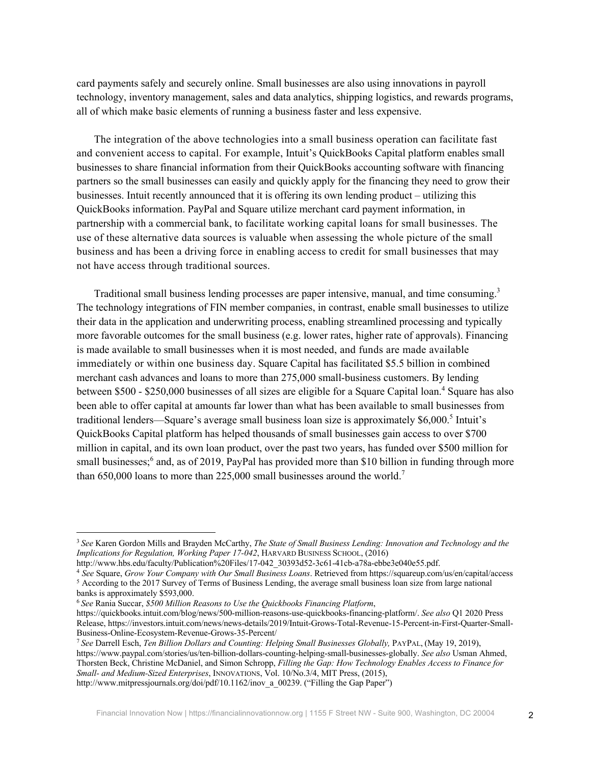card payments safely and securely online. Small businesses are also using innovations in payroll technology, inventory management, sales and data analytics, shipping logistics, and rewards programs, all of which make basic elements of running a business faster and less expensive.

The integration of the above technologies into a small business operation can facilitate fast and convenient access to capital. For example, Intuit's QuickBooks Capital platform enables small businesses to share financial information from their QuickBooks accounting software with financing partners so the small businesses can easily and quickly apply for the financing they need to grow their businesses. Intuit recently announced that it is offering its own lending product – utilizing this QuickBooks information. PayPal and Square utilize merchant card payment information, in partnership with a commercial bank, to facilitate working capital loans for small businesses. The use of these alternative data sources is valuable when assessing the whole picture of the small business and has been a driving force in enabling access to credit for small businesses that may not have access through traditional sources.

Traditional small business lending processes are paper intensive, manual, and time consuming.<sup>3</sup> The technology integrations of FIN member companies, in contrast, enable small businesses to utilize their data in the application and underwriting process, enabling streamlined processing and typically more favorable outcomes for the small business (e.g. lower rates, higher rate of approvals). Financing is made available to small businesses when it is most needed, and funds are made available immediately or within one business day. Square Capital has facilitated \$5.5 billion in combined merchant cash advances and loans to more than 275,000 small-business customers. By lending between \$500 - \$250,000 businesses of all sizes are eligible for a Square Capital loan.<sup>4</sup> Square has also been able to offer capital at amounts far lower than what has been available to small businesses from traditional lenders—Square's average small business loan size is approximately  $$6,000$ .<sup>5</sup> Intuit's QuickBooks Capital platform has helped thousands of small businesses gain access to over \$700 million in capital, and its own loan product, over the past two years, has funded over \$500 million for small businesses;<sup>6</sup> and, as of 2019, PayPal has provided more than \$10 billion in funding through more than 650,000 loans to more than 225,000 small businesses around the world.<sup>7</sup>

<sup>7</sup> *See* Darrell Esch, *Ten Billion Dollars and Counting: Helping Small Businesses Globally,* PAYPAL, (May 19, 2019), https://www.paypal.com/stories/us/ten-billion-dollars-counting-helping-small-businesses-globally. *See also* Usman Ahmed, Thorsten Beck, Christine McDaniel, and Simon Schropp, *Filling the Gap: How Technology Enables Access to Finance for Small- and Medium-Sized Enterprises*, INNOVATIONS, Vol. 10/No.3/4, MIT Press, (2015), http://www.mitpressjournals.org/doi/pdf/10.1162/inov\_a\_00239. ("Filling the Gap Paper")

<sup>3</sup> *See* Karen Gordon Mills and Brayden McCarthy, *The State of Small Business Lending: Innovation and Technology and the Implications for Regulation, Working Paper 17-042*, HARVARD BUSINESS SCHOOL, (2016)

http://www.hbs.edu/faculty/Publication%20Files/17-042\_30393d52-3c61-41cb-a78a-ebbe3e040e55.pdf.

<sup>4</sup> *See* Square, *Grow Your Company with Our Small Business Loans*. Retrieved from https://squareup.com/us/en/capital/access <sup>5</sup> According to the 2017 Survey of Terms of Business Lending, the average small business loan size from large national banks is approximately \$593,000.

<sup>6</sup> *See* Rania Succar, *\$500 Million Reasons to Use the Quickbooks Financing Platform*,

https://quickbooks.intuit.com/blog/news/500-million-reasons-use-quickbooks-financing-platform/. *See also* Q1 2020 Press Release, https://investors.intuit.com/news/news-details/2019/Intuit-Grows-Total-Revenue-15-Percent-in-First-Quarter-Small-Business-Online-Ecosystem-Revenue-Grows-35-Percent/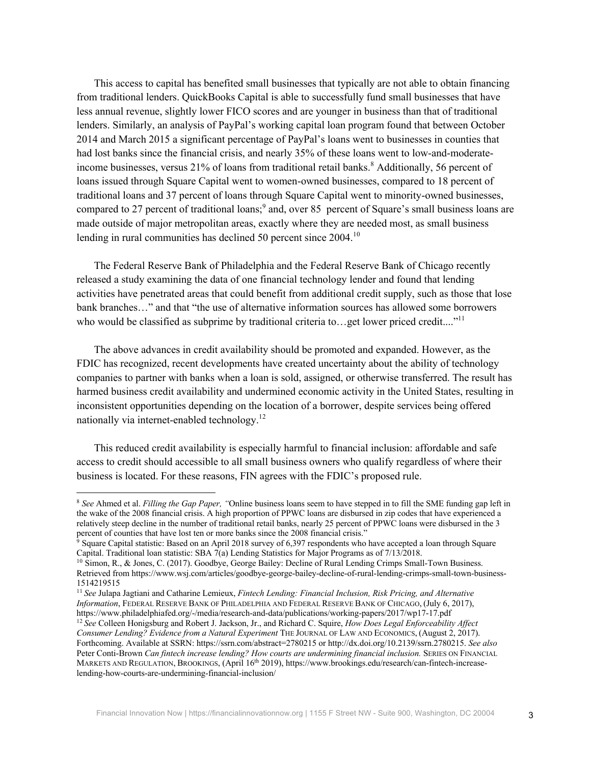This access to capital has benefited small businesses that typically are not able to obtain financing from traditional lenders. QuickBooks Capital is able to successfully fund small businesses that have less annual revenue, slightly lower FICO scores and are younger in business than that of traditional lenders. Similarly, an analysis of PayPal's working capital loan program found that between October 2014 and March 2015 a significant percentage of PayPal's loans went to businesses in counties that had lost banks since the financial crisis, and nearly 35% of these loans went to low-and-moderateincome businesses, versus  $21\%$  of loans from traditional retail banks.<sup>8</sup> Additionally, 56 percent of loans issued through Square Capital went to women-owned businesses, compared to 18 percent of traditional loans and 37 percent of loans through Square Capital went to minority-owned businesses, compared to 27 percent of traditional loans; <sup>9</sup> and, over 85 percent of Square's small business loans are made outside of major metropolitan areas, exactly where they are needed most, as small business lending in rural communities has declined 50 percent since 2004.<sup>10</sup>

The Federal Reserve Bank of Philadelphia and the Federal Reserve Bank of Chicago recently released a study examining the data of one financial technology lender and found that lending activities have penetrated areas that could benefit from additional credit supply, such as those that lose bank branches…" and that "the use of alternative information sources has allowed some borrowers who would be classified as subprime by traditional criteria to...get lower priced credit...."<sup>11</sup>

The above advances in credit availability should be promoted and expanded. However, as the FDIC has recognized, recent developments have created uncertainty about the ability of technology companies to partner with banks when a loan is sold, assigned, or otherwise transferred. The result has harmed business credit availability and undermined economic activity in the United States, resulting in inconsistent opportunities depending on the location of a borrower, despite services being offered nationally via internet-enabled technology.<sup>12</sup>

This reduced credit availability is especially harmful to financial inclusion: affordable and safe access to credit should accessible to all small business owners who qualify regardless of where their business is located. For these reasons, FIN agrees with the FDIC's proposed rule.

<sup>8</sup> *See* Ahmed et al. *Filling the Gap Paper, "*Online business loans seem to have stepped in to fill the SME funding gap left in the wake of the 2008 financial crisis. A high proportion of PPWC loans are disbursed in zip codes that have experienced a relatively steep decline in the number of traditional retail banks, nearly 25 percent of PPWC loans were disbursed in the 3 percent of counties that have lost ten or more banks since the 2008 financial crisis."

 $9$  Square Capital statistic: Based on an April 2018 survey of 6,397 respondents who have accepted a loan through Square Capital. Traditional loan statistic: SBA  $7(a)$  Lending Statistics for Major Programs as of  $7/13/2018$ .

<sup>&</sup>lt;sup>10</sup> Simon, R., & Jones, C. (2017). Goodbye, George Bailey: Decline of Rural Lending Crimps Small-Town Business. Retrieved from https://www.wsj.com/articles/goodbye-george-bailey-decline-of-rural-lending-crimps-small-town-business-1514219515

<sup>11</sup> *See* Julapa Jagtiani and Catharine Lemieux, *Fintech Lending: Financial Inclusion, Risk Pricing, and Alternative Information*, FEDERAL RESERVE BANK OF PHILADELPHIA AND FEDERAL RESERVE BANK OF CHICAGO, (July 6, 2017), https://www.philadelphiafed.org/-/media/research-and-data/publications/working-papers/2017/wp17-17.pdf

<sup>12</sup> *See* Colleen Honigsburg and Robert J. Jackson, Jr., and Richard C. Squire, *How Does Legal Enforceability Affect Consumer Lending? Evidence from a Natural Experiment* THE JOURNAL OF LAW AND ECONOMICS, (August 2, 2017). Forthcoming. Available at SSRN: https://ssrn.com/abstract=2780215 or http://dx.doi.org/10.2139/ssrn.2780215. *See also*  Peter Conti-Brown *Can fintech increase lending? How courts are undermining financial inclusion*. SERIES ON FINANCIAL MARKETS AND REGULATION, BROOKINGS, (April 16th 2019), https://www.brookings.edu/research/can-fintech-increaselending-how-courts-are-undermining-financial-inclusion/